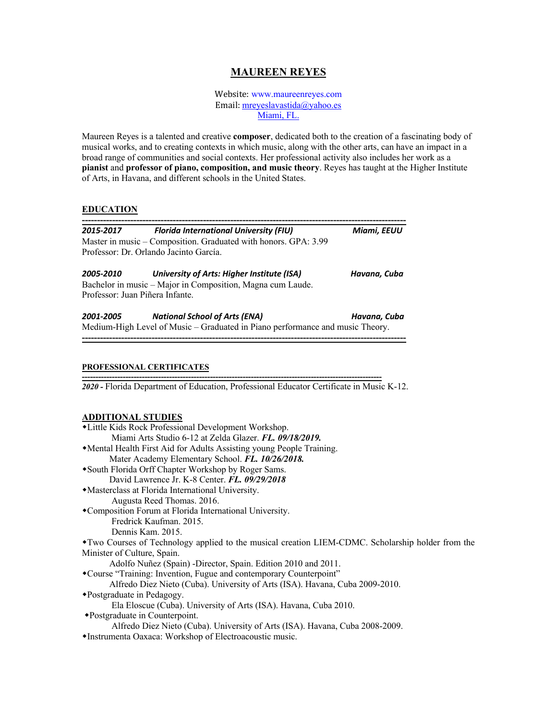# **MAUREEN REYES**

Website: www.maureenreyes.com Email: mreyeslavastida@yahoo.es Miami, FL.

Maureen Reyes is a talented and creative **composer**, dedicated both to the creation of a fascinating body of musical works, and to creating contexts in which music, along with the other arts, can have an impact in a broad range of communities and social contexts. Her professional activity also includes her work as a **pianist** and **professor of piano, composition, and music theory**. Reyes has taught at the Higher Institute of Arts, in Havana, and different schools in the United States.

# **EDUCATION**

| 2015-2017                      | <b>Florida International University (FIU)</b>                                 | Miami, EEUU  |
|--------------------------------|-------------------------------------------------------------------------------|--------------|
|                                | Master in music – Composition. Graduated with honors. GPA: 3.99               |              |
|                                | Professor: Dr. Orlando Jacinto García.                                        |              |
| 2005-2010                      | University of Arts: Higher Institute (ISA)                                    | Havana, Cuba |
|                                | Bachelor in music – Major in Composition, Magna cum Laude.                    |              |
| Professor: Juan Piñera Infante |                                                                               |              |
| 2001-2005                      | <b>National School of Arts (ENA)</b>                                          | Havana, Cuba |
|                                | Medium-High Level of Music – Graduated in Piano performance and music Theory. |              |

#### **PROFESSIONAL CERTIFICATES --------------------------------------------------------------------------------------------------------------**

*2020 -* Florida Department of Education, Professional Educator Certificate in Music K-12.

# **ADDITIONAL STUDIES**

| Miami Arts Studio 6-12 at Zelda Glazer. FL. 09/18/2019.                                            |
|----------------------------------------------------------------------------------------------------|
| • Mental Health First Aid for Adults Assisting young People Training.                              |
| Mater Academy Elementary School. FL. 10/26/2018.                                                   |
| *South Florida Orff Chapter Workshop by Roger Sams.                                                |
| David Lawrence Jr. K-8 Center. FL. 09/29/2018                                                      |
| • Masterclass at Florida International University.                                                 |
| Augusta Reed Thomas. 2016.                                                                         |
| *Composition Forum at Florida International University.                                            |
| Fredrick Kaufman. 2015.                                                                            |
| Dennis Kam. 2015.                                                                                  |
| • Two Courses of Technology applied to the musical creation LIEM-CDMC. Scholarship holder from the |
| Minister of Culture, Spain.                                                                        |
| Adolfo Nuñez (Spain) - Director, Spain. Edition 2010 and 2011.                                     |
| *Course "Training: Invention, Fugue and contemporary Counterpoint"                                 |
| Alfredo Diez Nieto (Cuba). University of Arts (ISA). Havana, Cuba 2009-2010.                       |
| • Postgraduate in Pedagogy.                                                                        |
| Ela Eloscue (Cuba). University of Arts (ISA). Havana, Cuba 2010.                                   |
| ◆Postgraduate in Counterpoint.                                                                     |
| Alfredo Diez Nieto (Cuba). University of Arts (ISA). Havana, Cuba 2008-2009.                       |
| •Instrumenta Oaxaca: Workshop of Electroacoustic music.                                            |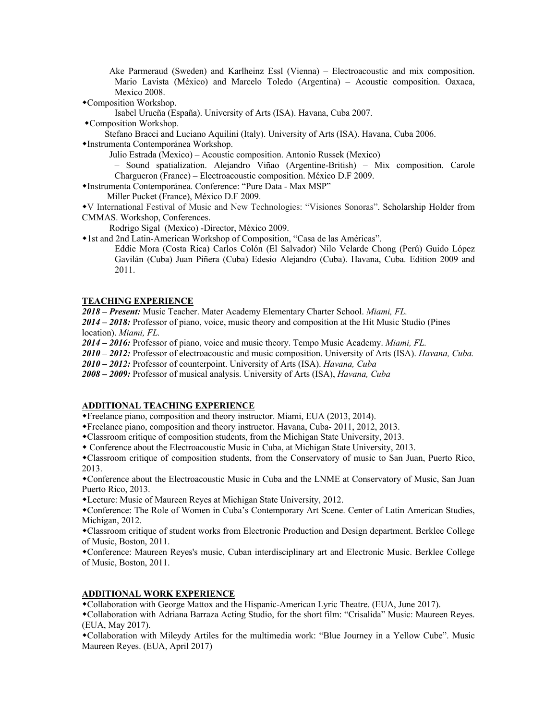Ake Parmeraud (Sweden) and Karlheinz Essl (Vienna) – Electroacoustic and mix composition. Mario Lavista (México) and Marcelo Toledo (Argentina) – Acoustic composition. Oaxaca, Mexico 2008.

\*Composition Workshop.

Isabel Urueña (España). University of Arts (ISA). Havana, Cuba 2007.

• Composition Workshop.

Stefano Bracci and Luciano Aquilini (Italy). University of Arts (ISA). Havana, Cuba 2006.

wInstrumenta Contemporánea Workshop.

Julio Estrada (Mexico) – Acoustic composition. Antonio Russek (Mexico)

– Sound spatialization. Alejandro Viñao (Argentine-British) – Mix composition. Carole Chargueron (France) – Electroacoustic composition. México D.F 2009.

wInstrumenta Contemporánea. Conference: "Pure Data - Max MSP"

Miller Pucket (France), México D.F 2009.

wV International Festival of Music and New Technologies: "Visiones Sonoras". Scholarship Holder from CMMAS. Workshop, Conferences.

Rodrigo Sigal (Mexico) -Director, México 2009.

w1st and 2nd Latin-American Workshop of Composition, "Casa de las Américas".

Eddie Mora (Costa Rica) Carlos Colón (El Salvador) Nilo Velarde Chong (Perú) Guido López Gavilán (Cuba) Juan Piñera (Cuba) Edesio Alejandro (Cuba). Havana, Cuba. Edition 2009 and 2011.

#### **TEACHING EXPERIENCE**

*2018 – Present:* Music Teacher. Mater Academy Elementary Charter School. *Miami, FL.*

*2014 – 2018:* Professor of piano, voice, music theory and composition at the Hit Music Studio (Pines location). *Miami, FL.*

*2014 – 2016:* Professor of piano, voice and music theory. Tempo Music Academy. *Miami, FL.*

*2010 – 2012:* Professor of electroacoustic and music composition. University of Arts (ISA). *Havana, Cuba.*

*2010 – 2012:* Professor of counterpoint. University of Arts (ISA). *Havana, Cuba*

*2008 – 2009:* Professor of musical analysis. University of Arts (ISA), *Havana, Cuba*

### **ADDITIONAL TEACHING EXPERIENCE**

wFreelance piano, composition and theory instructor. Miami, EUA (2013, 2014).

wFreelance piano, composition and theory instructor. Havana, Cuba- 2011, 2012, 2013.

wClassroom critique of composition students, from the Michigan State University, 2013.

w Conference about the Electroacoustic Music in Cuba, at Michigan State University, 2013.

wClassroom critique of composition students, from the Conservatory of music to San Juan, Puerto Rico, 2013.

wConference about the Electroacoustic Music in Cuba and the LNME at Conservatory of Music, San Juan Puerto Rico, 2013.

\*Lecture: Music of Maureen Reyes at Michigan State University, 2012.

wConference: The Role of Women in Cuba's Contemporary Art Scene. Center of Latin American Studies, Michigan, 2012.

wClassroom critique of student works from Electronic Production and Design department. Berklee College of Music, Boston, 2011.

wConference: Maureen Reyes's music, Cuban interdisciplinary art and Electronic Music. Berklee College of Music, Boston, 2011.

# **ADDITIONAL WORK EXPERIENCE**

wCollaboration with George Mattox and the Hispanic-American Lyric Theatre. (EUA, June 2017).

wCollaboration with Adriana Barraza Acting Studio, for the short film: "Crisalida" Music: Maureen Reyes. (EUA, May 2017).

wCollaboration with Mileydy Artiles for the multimedia work: "Blue Journey in a Yellow Cube". Music Maureen Reyes. (EUA, April 2017)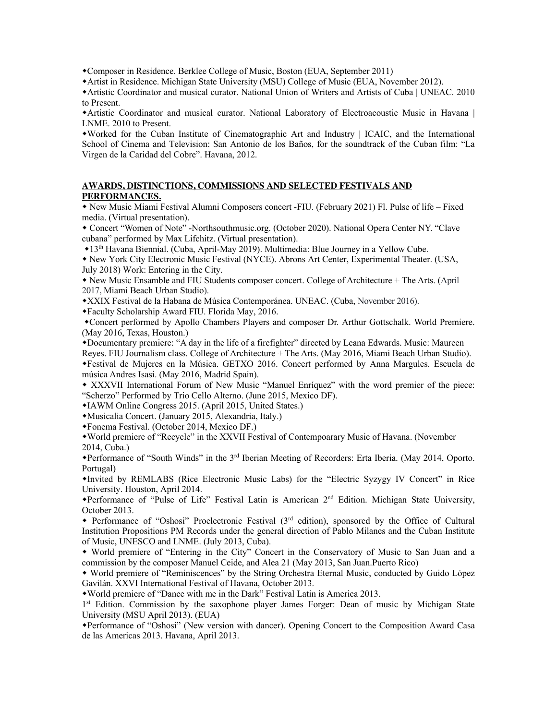wComposer in Residence. Berklee College of Music, Boston (EUA, September 2011)

wArtist in Residence. Michigan State University (MSU) College of Music (EUA, November 2012).

wArtistic Coordinator and musical curator. National Union of Writers and Artists of Cuba | UNEAC. 2010 to Present.

wArtistic Coordinator and musical curator. National Laboratory of Electroacoustic Music in Havana | LNME. 2010 to Present.

wWorked for the Cuban Institute of Cinematographic Art and Industry | ICAIC, and the International School of Cinema and Television: San Antonio de los Baños, for the soundtrack of the Cuban film: "La Virgen de la Caridad del Cobre". Havana, 2012.

### **AWARDS, DISTINCTIONS, COMMISSIONS AND SELECTED FESTIVALS AND PERFORMANCES.**

w New Music Miami Festival Alumni Composers concert -FIU. (February 2021) Fl. Pulse of life – Fixed media. (Virtual presentation).

w Concert "Women of Note" -Northsouthmusic.org. (October 2020). National Opera Center NY. "Clave cubana" performed by Max Lifchitz. (Virtual presentation).

w13th Havana Biennial. (Cuba, April-May 2019). Multimedia: Blue Journey in a Yellow Cube.

w New York City Electronic Music Festival (NYCE). Abrons Art Center, Experimental Theater. (USA, July 2018) Work: Entering in the City.

w New Music Ensamble and FIU Students composer concert. College of Architecture + The Arts. (April 2017, Miami Beach Urban Studio).

wXXIX Festival de la Habana de Música Contemporánea. UNEAC. (Cuba, November 2016).

wFaculty Scholarship Award FIU. Florida May, 2016.

wConcert performed by Apollo Chambers Players and composer Dr. Arthur Gottschalk. World Premiere. (May 2016, Texas, Houston.)

wDocumentary premiere: "A day in the life of a firefighter" directed by Leana Edwards. Music: Maureen

Reyes. FIU Journalism class. College of Architecture + The Arts. (May 2016, Miami Beach Urban Studio).

wFestival de Mujeres en la Música. GETXO 2016. Concert performed by Anna Margules. Escuela de música Andres Isasi. (May 2016, Madrid Spain).

w XXXVII International Forum of New Music "Manuel Enríquez" with the word premier of the piece: "Scherzo" Performed by Trio Cello Alterno. (June 2015, Mexico DF).

wIAWM Online Congress 2015. (April 2015, United States.)

wMusicalia Concert. (January 2015, Alexandria, Italy.)

wFonema Festival. (October 2014, Mexico DF.)

wWorld premiere of "Recycle" in the XXVII Festival of Contempoarary Music of Havana. (November 2014, Cuba.)

wPerformance of "South Winds" in the 3rd Iberian Meeting of Recorders: Erta Iberia. (May 2014, Oporto. Portugal)

wInvited by REMLABS (Rice Electronic Music Labs) for the "Electric Syzygy IV Concert" in Rice University. Houston, April 2014.

wPerformance of "Pulse of Life" Festival Latin is American 2nd Edition. Michigan State University, October 2013.

w Performance of "Oshosi" Proelectronic Festival (3rd edition), sponsored by the Office of Cultural Institution Propositions PM Records under the general direction of Pablo Milanes and the Cuban Institute of Music, UNESCO and LNME. (July 2013, Cuba).

w World premiere of "Entering in the City" Concert in the Conservatory of Music to San Juan and a commission by the composer Manuel Ceide, and Alea 21 (May 2013, San Juan.Puerto Rico)

w World premiere of "Reminiscences" by the String Orchestra Eternal Music, conducted by Guido López Gavilán. XXVI International Festival of Havana, October 2013.

wWorld premiere of "Dance with me in the Dark" Festival Latin is America 2013.

1<sup>st</sup> Edition. Commission by the saxophone player James Forger: Dean of music by Michigan State University (MSU April 2013). (EUA)

wPerformance of "Oshosi" (New version with dancer). Opening Concert to the Composition Award Casa de las Americas 2013. Havana, April 2013.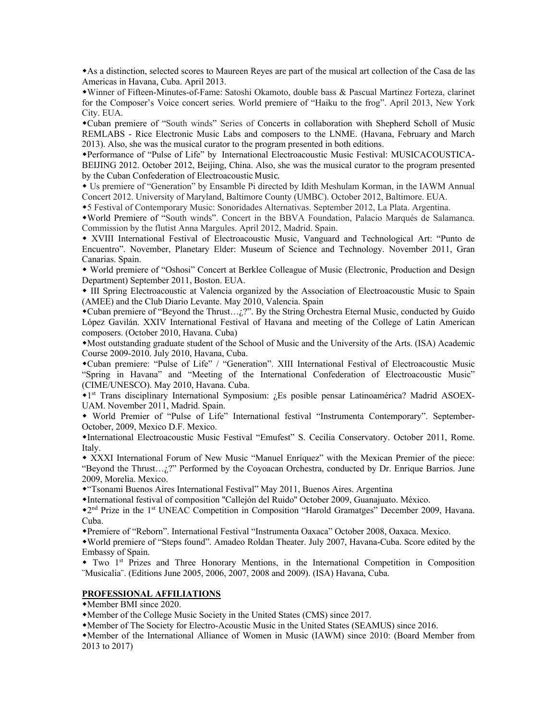wAs a distinction, selected scores to Maureen Reyes are part of the musical art collection of the Casa de las Americas in Havana, Cuba. April 2013.

wWinner of Fifteen-Minutes-of-Fame: Satoshi Okamoto, double bass & Pascual Martinez Forteza, clarinet for the Composer's Voice concert series. World premiere of "Haiku to the frog". April 2013, New York City. EUA.

wCuban premiere of "South winds" Series of Concerts in collaboration with Shepherd Scholl of Music REMLABS - Rice Electronic Music Labs and composers to the LNME. (Havana, February and March 2013). Also, she was the musical curator to the program presented in both editions.

wPerformance of "Pulse of Life" by International Electroacoustic Music Festival: MUSICACOUSTICA-BEIJING 2012. October 2012, Beijing, China. Also, she was the musical curator to the program presented by the Cuban Confederation of Electroacoustic Music.

w Us premiere of "Generation" by Ensamble Pi directed by Idith Meshulam Korman, in the IAWM Annual Concert 2012. University of Maryland, Baltimore County (UMBC). October 2012, Baltimore. EUA.

w5 Festival of Contemporary Music: Sonoridades Alternativas. September 2012, La Plata. Argentina.

wWorld Premiere of "South winds". Concert in the BBVA Foundation, Palacio Marqués de Salamanca. Commission by the flutist Anna Margules. April 2012, Madrid. Spain.

w XVIII International Festival of Electroacoustic Music, Vanguard and Technological Art: "Punto de Encuentro". November, Planetary Elder: Museum of Science and Technology. November 2011, Gran Canarias. Spain.

w World premiere of "Oshosi" Concert at Berklee Colleague of Music (Electronic, Production and Design Department) September 2011, Boston. EUA.

w III Spring Electroacoustic at Valencia organized by the Association of Electroacoustic Music to Spain (AMEE) and the Club Diario Levante. May 2010, Valencia. Spain

 $\bullet$ Cuban premiere of "Beyond the Thrust... $\chi$ ?". By the String Orchestra Eternal Music, conducted by Guido López Gavilán. XXIV International Festival of Havana and meeting of the College of Latin American composers. (October 2010, Havana. Cuba)

wMost outstanding graduate student of the School of Music and the University of the Arts. (ISA) Academic Course 2009-2010. July 2010, Havana, Cuba.

wCuban premiere: "Pulse of Life" / "Generation". XIII International Festival of Electroacoustic Music "Spring in Havana" and "Meeting of the International Confederation of Electroacoustic Music" (CIME/UNESCO). May 2010, Havana. Cuba.

w1st Trans disciplinary International Symposium: ¿Es posible pensar Latinoamérica? Madrid ASOEX-UAM. November 2011, Madrid. Spain.

w World Premier of "Pulse of Life" International festival "Instrumenta Contemporary". September-October, 2009, Mexico D.F. Mexico.

wInternational Electroacoustic Music Festival "Emufest" S. Cecilia Conservatory. October 2011, Rome. Italy.

\* XXXI International Forum of New Music "Manuel Enríquez" with the Mexican Premier of the piece: "Beyond the Thrust…¿?" Performed by the Coyoacan Orchestra, conducted by Dr. Enrique Barrios. June 2009, Morelia. Mexico.

w"Tsonami Buenos Aires International Festival" May 2011, Buenos Aires. Argentina

wInternational festival of composition ''Callejón del Ruido'' October 2009, Guanajuato. México.

w2nd Prize in the 1st UNEAC Competition in Composition "Harold Gramatges" December 2009, Havana. Cuba.

wPremiere of "Reborn". International Festival "Instrumenta Oaxaca" October 2008, Oaxaca. Mexico.

wWorld premiere of "Steps found". Amadeo Roldan Theater. July 2007, Havana-Cuba. Score edited by the Embassy of Spain.

w Two 1st Prizes and Three Honorary Mentions, in the International Competition in Composition ¨Musicalia¨. (Editions June 2005, 2006, 2007, 2008 and 2009). (ISA) Havana, Cuba.

# **PROFESSIONAL AFFILIATIONS**

• Member BMI since 2020.

• Member of the College Music Society in the United States (CMS) since 2017.

wMember of The Society for Electro-Acoustic Music in the United States (SEAMUS) since 2016.

wMember of the International Alliance of Women in Music (IAWM) since 2010: (Board Member from 2013 to 2017)